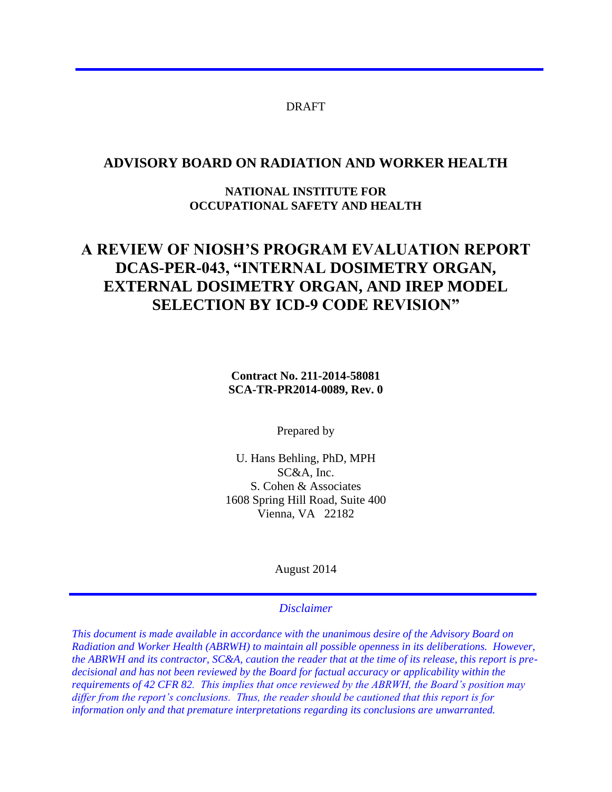#### DRAFT

### **ADVISORY BOARD ON RADIATION AND WORKER HEALTH**

### **NATIONAL INSTITUTE FOR OCCUPATIONAL SAFETY AND HEALTH**

# **A REVIEW OF NIOSH'S PROGRAM EVALUATION REPORT DCAS-PER-043, "INTERNAL DOSIMETRY ORGAN, EXTERNAL DOSIMETRY ORGAN, AND IREP MODEL SELECTION BY ICD-9 CODE REVISION"**

**Contract No. 211-2014-58081 SCA-TR-PR2014-0089, Rev. 0** 

Prepared by

U. Hans Behling, PhD, MPH SC&A, Inc. S. Cohen & Associates 1608 Spring Hill Road, Suite 400 Vienna, VA 22182

August 2014

#### *Disclaimer*

*This document is made available in accordance with the unanimous desire of the Advisory Board on Radiation and Worker Health (ABRWH) to maintain all possible openness in its deliberations. However, the ABRWH and its contractor, SC&A, caution the reader that at the time of its release, this report is predecisional and has not been reviewed by the Board for factual accuracy or applicability within the requirements of 42 CFR 82. This implies that once reviewed by the ABRWH, the Board's position may differ from the report's conclusions. Thus, the reader should be cautioned that this report is for information only and that premature interpretations regarding its conclusions are unwarranted.*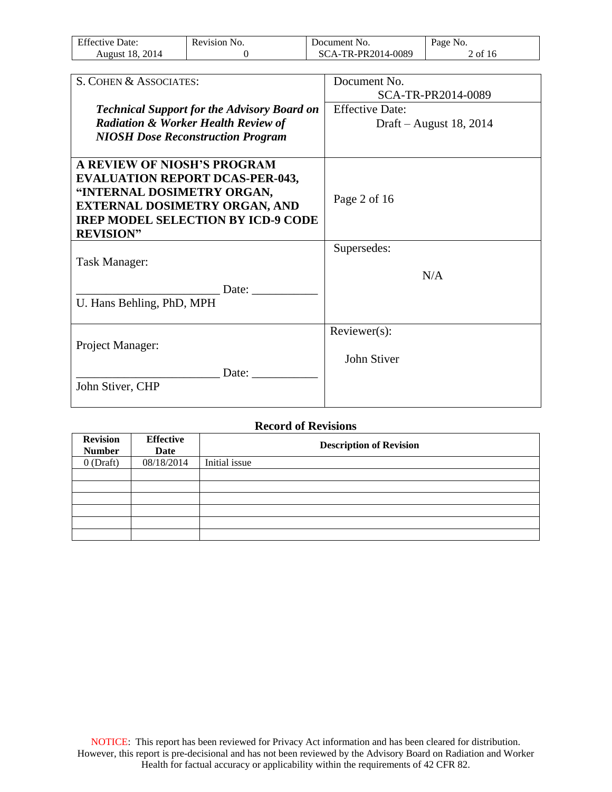| <b>Effective Date:</b> | Revision No. | Document No.       | Page No.  |
|------------------------|--------------|--------------------|-----------|
| August 18, 2014        |              | SCA-TR-PR2014-0089 | $2$ of 16 |

| S. COHEN & ASSOCIATES:                             | Document No.            |
|----------------------------------------------------|-------------------------|
|                                                    | SCA-TR-PR2014-0089      |
| <b>Technical Support for the Advisory Board on</b> | <b>Effective Date:</b>  |
| <b>Radiation &amp; Worker Health Review of</b>     | Draft – August 18, 2014 |
| <b>NIOSH Dose Reconstruction Program</b>           |                         |
|                                                    |                         |
| <b>A REVIEW OF NIOSH'S PROGRAM</b>                 |                         |
| <b>EVALUATION REPORT DCAS-PER-043,</b>             |                         |
| "INTERNAL DOSIMETRY ORGAN,                         | Page 2 of 16            |
| <b>EXTERNAL DOSIMETRY ORGAN, AND</b>               |                         |
| <b>IREP MODEL SELECTION BY ICD-9 CODE</b>          |                         |
| <b>REVISION"</b>                                   |                         |
|                                                    | Supersedes:             |
| <b>Task Manager:</b>                               |                         |
|                                                    | N/A                     |
| Date:                                              |                         |
| U. Hans Behling, PhD, MPH                          |                         |
|                                                    |                         |
|                                                    | Reviewer(s):            |
| Project Manager:                                   |                         |
|                                                    | John Stiver             |
| Date:                                              |                         |
| John Stiver, CHP                                   |                         |
|                                                    |                         |

#### **Record of Revisions**

| <b>Revision</b><br><b>Number</b> | <b>Effective</b><br>Date | <b>Description of Revision</b> |
|----------------------------------|--------------------------|--------------------------------|
| $0$ (Draft)                      | 08/18/2014               | Initial issue                  |
|                                  |                          |                                |
|                                  |                          |                                |
|                                  |                          |                                |
|                                  |                          |                                |
|                                  |                          |                                |
|                                  |                          |                                |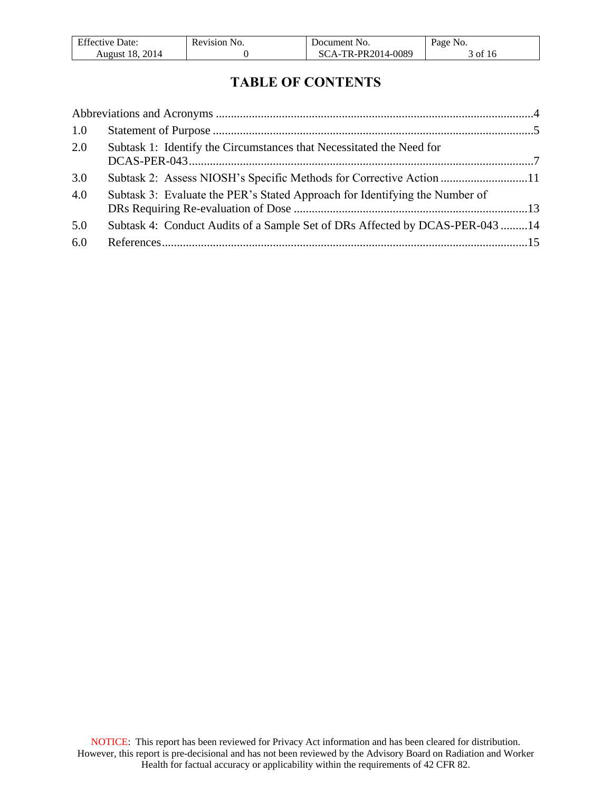| <b>Effective Date:</b> | Revision No. | Document No.       | Page No. |
|------------------------|--------------|--------------------|----------|
| <b>August 18, 2014</b> |              | SCA-TR-PR2014-0089 | 3 of 16  |

# **TABLE OF CONTENTS**

| 1.0 |                                                                              |  |
|-----|------------------------------------------------------------------------------|--|
| 2.0 | Subtask 1: Identify the Circumstances that Necessitated the Need for         |  |
| 3.0 | Subtask 2: Assess NIOSH's Specific Methods for Corrective Action 11          |  |
| 4.0 | Subtask 3: Evaluate the PER's Stated Approach for Identifying the Number of  |  |
| 5.0 | Subtask 4: Conduct Audits of a Sample Set of DRs Affected by DCAS-PER-043 14 |  |
| 6.0 |                                                                              |  |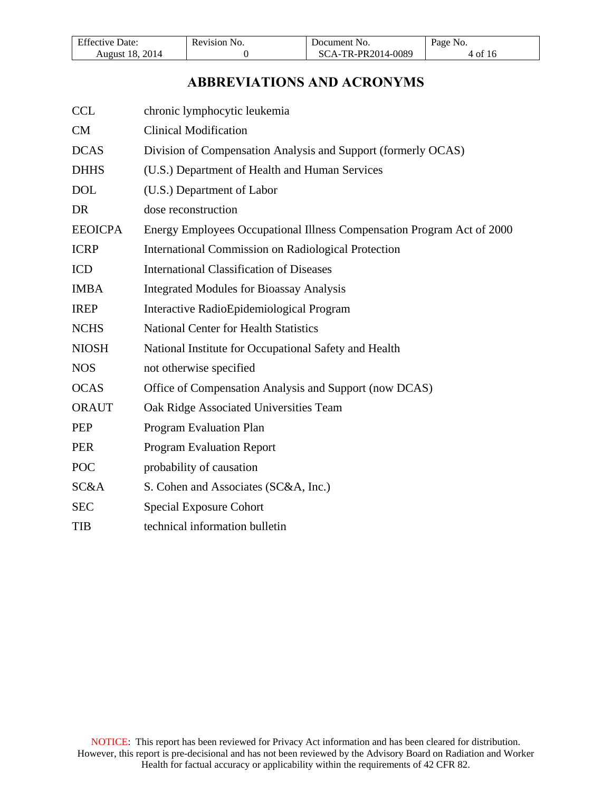| <b>Effective Date:</b> | Revision No. | Document No.       | Page No. |
|------------------------|--------------|--------------------|----------|
| <b>August 18, 2014</b> |              | SCA-TR-PR2014-0089 | 4 of 16  |

# **ABBREVIATIONS AND ACRONYMS**

<span id="page-3-0"></span>

| <b>CCL</b>     | chronic lymphocytic leukemia                                           |
|----------------|------------------------------------------------------------------------|
| <b>CM</b>      | <b>Clinical Modification</b>                                           |
| <b>DCAS</b>    | Division of Compensation Analysis and Support (formerly OCAS)          |
| <b>DHHS</b>    | (U.S.) Department of Health and Human Services                         |
| <b>DOL</b>     | (U.S.) Department of Labor                                             |
| DR             | dose reconstruction                                                    |
| <b>EEOICPA</b> | Energy Employees Occupational Illness Compensation Program Act of 2000 |
| <b>ICRP</b>    | <b>International Commission on Radiological Protection</b>             |
| <b>ICD</b>     | <b>International Classification of Diseases</b>                        |
| <b>IMBA</b>    | <b>Integrated Modules for Bioassay Analysis</b>                        |
| <b>IREP</b>    | Interactive RadioEpidemiological Program                               |
| <b>NCHS</b>    | <b>National Center for Health Statistics</b>                           |
| <b>NIOSH</b>   | National Institute for Occupational Safety and Health                  |
| <b>NOS</b>     | not otherwise specified                                                |
| <b>OCAS</b>    | Office of Compensation Analysis and Support (now DCAS)                 |
| <b>ORAUT</b>   | Oak Ridge Associated Universities Team                                 |
| <b>PEP</b>     | Program Evaluation Plan                                                |
| <b>PER</b>     | <b>Program Evaluation Report</b>                                       |
| <b>POC</b>     | probability of causation                                               |
| SC&A           | S. Cohen and Associates (SC&A, Inc.)                                   |
| <b>SEC</b>     | <b>Special Exposure Cohort</b>                                         |
| <b>TIB</b>     | technical information bulletin                                         |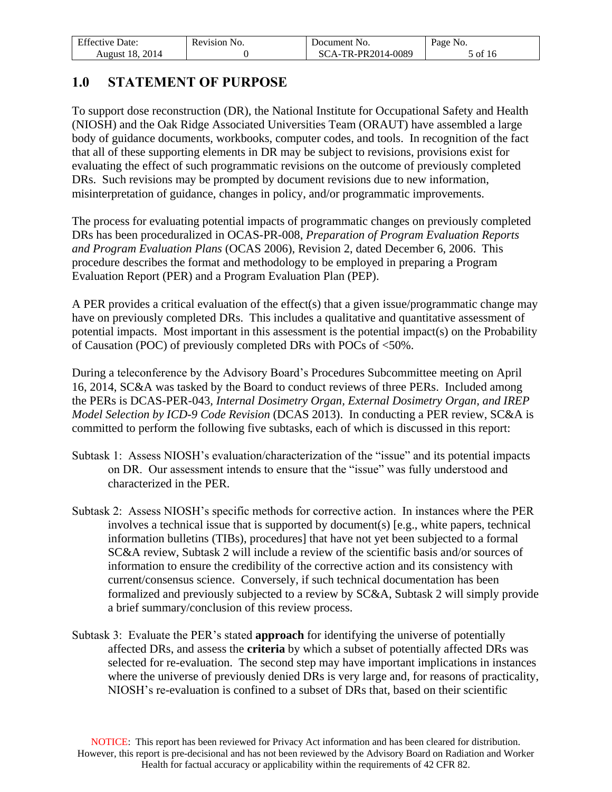| <b>Effective Date:</b> | Revision No. | Document No.       | Page No. |
|------------------------|--------------|--------------------|----------|
| August 18, 2014        |              | SCA-TR-PR2014-0089 | 5 of 16  |

### <span id="page-4-0"></span>**1.0 STATEMENT OF PURPOSE**

To support dose reconstruction (DR), the National Institute for Occupational Safety and Health (NIOSH) and the Oak Ridge Associated Universities Team (ORAUT) have assembled a large body of guidance documents, workbooks, computer codes, and tools. In recognition of the fact that all of these supporting elements in DR may be subject to revisions, provisions exist for evaluating the effect of such programmatic revisions on the outcome of previously completed DRs. Such revisions may be prompted by document revisions due to new information, misinterpretation of guidance, changes in policy, and/or programmatic improvements.

The process for evaluating potential impacts of programmatic changes on previously completed DRs has been proceduralized in OCAS-PR-008, *Preparation of Program Evaluation Reports and Program Evaluation Plans* (OCAS 2006), Revision 2, dated December 6, 2006. This procedure describes the format and methodology to be employed in preparing a Program Evaluation Report (PER) and a Program Evaluation Plan (PEP).

A PER provides a critical evaluation of the effect(s) that a given issue/programmatic change may have on previously completed DRs. This includes a qualitative and quantitative assessment of potential impacts. Most important in this assessment is the potential impact(s) on the Probability of Causation (POC) of previously completed DRs with POCs of <50%.

During a teleconference by the Advisory Board's Procedures Subcommittee meeting on April 16, 2014, SC&A was tasked by the Board to conduct reviews of three PERs. Included among the PERs is DCAS-PER-043*, Internal Dosimetry Organ, External Dosimetry Organ, and IREP Model Selection by ICD-9 Code Revision* (DCAS 2013). In conducting a PER review, SC&A is committed to perform the following five subtasks, each of which is discussed in this report:

- Subtask 1: Assess NIOSH's evaluation/characterization of the "issue" and its potential impacts on DR. Our assessment intends to ensure that the "issue" was fully understood and characterized in the PER.
- Subtask 2: Assess NIOSH's specific methods for corrective action. In instances where the PER involves a technical issue that is supported by document(s) [e.g., white papers, technical information bulletins (TIBs), procedures] that have not yet been subjected to a formal SC&A review, Subtask 2 will include a review of the scientific basis and/or sources of information to ensure the credibility of the corrective action and its consistency with current/consensus science. Conversely, if such technical documentation has been formalized and previously subjected to a review by SC&A, Subtask 2 will simply provide a brief summary/conclusion of this review process.
- Subtask 3: Evaluate the PER's stated **approach** for identifying the universe of potentially affected DRs, and assess the **criteria** by which a subset of potentially affected DRs was selected for re-evaluation. The second step may have important implications in instances where the universe of previously denied DRs is very large and, for reasons of practicality, NIOSH's re-evaluation is confined to a subset of DRs that, based on their scientific

NOTICE: This report has been reviewed for Privacy Act information and has been cleared for distribution. However, this report is pre-decisional and has not been reviewed by the Advisory Board on Radiation and Worker Health for factual accuracy or applicability within the requirements of 42 CFR 82.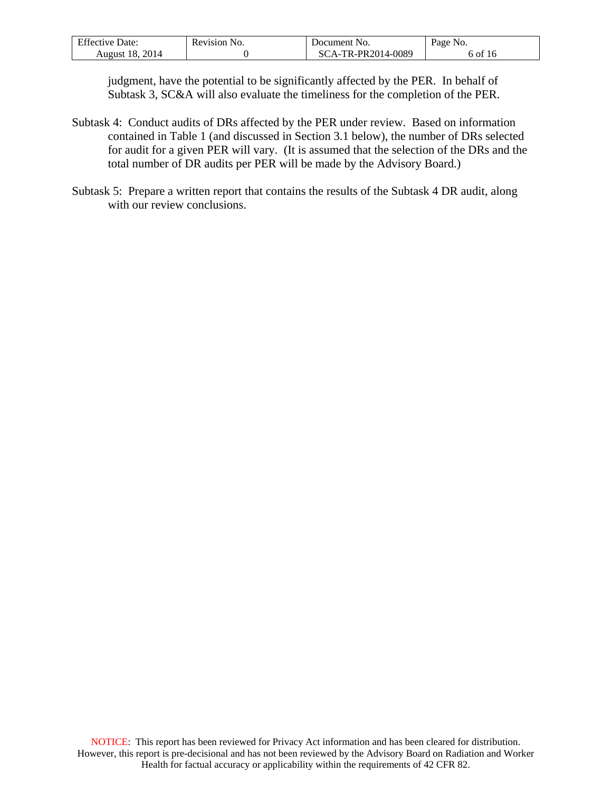| <b>Effective Date:</b> | Revision No. | Document No.       | Page No. |
|------------------------|--------------|--------------------|----------|
| August 18, 2014        |              | SCA-TR-PR2014-0089 | 6 of 16  |

judgment, have the potential to be significantly affected by the PER. In behalf of Subtask 3, SC&A will also evaluate the timeliness for the completion of the PER.

- Subtask 4: Conduct audits of DRs affected by the PER under review. Based on information contained in Table 1 (and discussed in Section 3.1 below), the number of DRs selected for audit for a given PER will vary. (It is assumed that the selection of the DRs and the total number of DR audits per PER will be made by the Advisory Board.)
- Subtask 5: Prepare a written report that contains the results of the Subtask 4 DR audit, along with our review conclusions.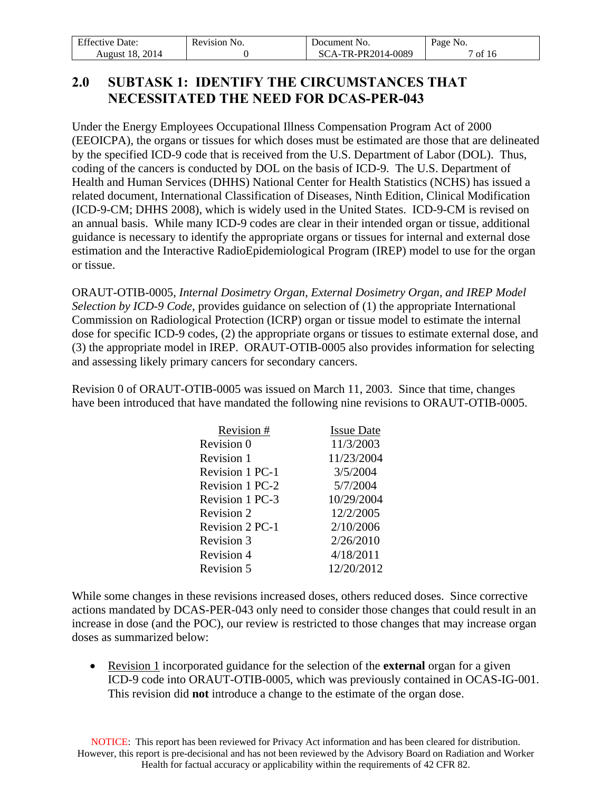| <b>Effective Date:</b> | Revision No. | Document No.       | Page No. |
|------------------------|--------------|--------------------|----------|
| <b>August 18, 2014</b> |              | SCA-TR-PR2014-0089 | of 16    |

# <span id="page-6-0"></span>**2.0 SUBTASK 1: IDENTIFY THE CIRCUMSTANCES THAT NECESSITATED THE NEED FOR DCAS-PER-043**

Under the Energy Employees Occupational Illness Compensation Program Act of 2000 (EEOICPA), the organs or tissues for which doses must be estimated are those that are delineated by the specified ICD-9 code that is received from the U.S. Department of Labor (DOL). Thus, coding of the cancers is conducted by DOL on the basis of ICD-9. The U.S. Department of Health and Human Services (DHHS) National Center for Health Statistics (NCHS) has issued a related document, International Classification of Diseases, Ninth Edition, Clinical Modification (ICD-9-CM; DHHS 2008), which is widely used in the United States. ICD-9-CM is revised on an annual basis. While many ICD-9 codes are clear in their intended organ or tissue, additional guidance is necessary to identify the appropriate organs or tissues for internal and external dose estimation and the Interactive RadioEpidemiological Program (IREP) model to use for the organ or tissue.

ORAUT-OTIB-0005, *Internal Dosimetry Organ, External Dosimetry Organ, and IREP Model Selection by ICD-9 Code*, provides guidance on selection of (1) the appropriate International Commission on Radiological Protection (ICRP) organ or tissue model to estimate the internal dose for specific ICD-9 codes, (2) the appropriate organs or tissues to estimate external dose, and (3) the appropriate model in IREP. ORAUT-OTIB-0005 also provides information for selecting and assessing likely primary cancers for secondary cancers.

Revision 0 of ORAUT-OTIB-0005 was issued on March 11, 2003. Since that time, changes have been introduced that have mandated the following nine revisions to ORAUT-OTIB-0005.

| Revision #             | <b>Issue Date</b> |
|------------------------|-------------------|
| Revision 0             | 11/3/2003         |
| Revision 1             | 11/23/2004        |
| <b>Revision 1 PC-1</b> | 3/5/2004          |
| <b>Revision 1 PC-2</b> | 5/7/2004          |
| <b>Revision 1 PC-3</b> | 10/29/2004        |
| Revision 2             | 12/2/2005         |
| <b>Revision 2 PC-1</b> | 2/10/2006         |
| Revision 3             | 2/26/2010         |
| Revision 4             | 4/18/2011         |
| Revision 5             | 12/20/2012        |

While some changes in these revisions increased doses, others reduced doses. Since corrective actions mandated by DCAS-PER-043 only need to consider those changes that could result in an increase in dose (and the POC), our review is restricted to those changes that may increase organ doses as summarized below:

 Revision 1 incorporated guidance for the selection of the **external** organ for a given ICD-9 code into ORAUT-OTIB-0005, which was previously contained in OCAS-IG-001. This revision did **not** introduce a change to the estimate of the organ dose.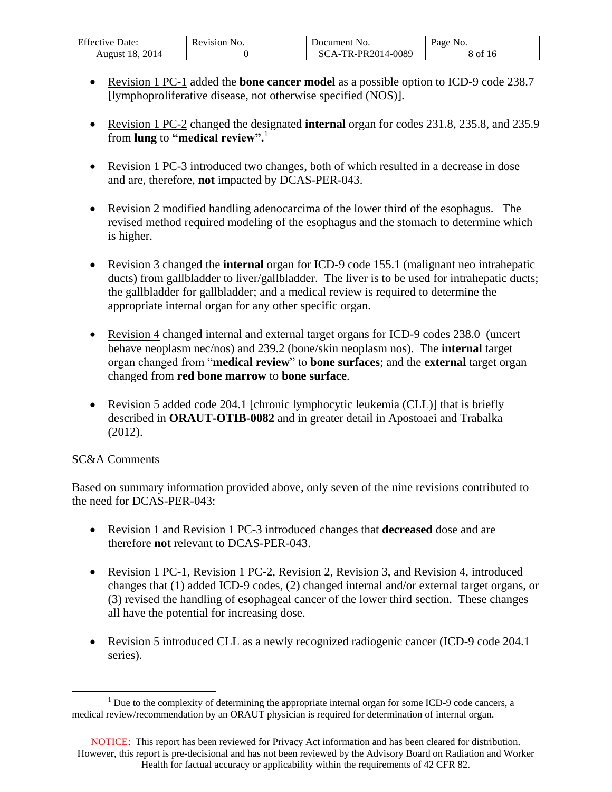| <b>Effective Date:</b> | Revision No. | Document No.     | Page No. |
|------------------------|--------------|------------------|----------|
| August 18, 2014        |              | A-TR-PR2014-0089 | 8 of 16  |

- Revision 1 PC-1 added the **bone cancer model** as a possible option to ICD-9 code 238.7 [lymphoproliferative disease, not otherwise specified (NOS)].
- Revision 1 PC-2 changed the designated **internal** organ for codes 231.8, 235.8, and 235.9 from **lung** to **"medical review".** 1
- Revision 1 PC-3 introduced two changes, both of which resulted in a decrease in dose and are, therefore, **not** impacted by DCAS-PER-043.
- Revision 2 modified handling adenocarcima of the lower third of the esophagus. The revised method required modeling of the esophagus and the stomach to determine which is higher.
- Revision 3 changed the **internal** organ for ICD-9 code 155.1 (malignant neo intrahepatic ducts) from gallbladder to liver/gallbladder. The liver is to be used for intrahepatic ducts; the gallbladder for gallbladder; and a medical review is required to determine the appropriate internal organ for any other specific organ.
- Revision 4 changed internal and external target organs for ICD-9 codes 238.0 (uncert behave neoplasm nec/nos) and 239.2 (bone/skin neoplasm nos). The **internal** target organ changed from "**medical review**" to **bone surfaces**; and the **external** target organ changed from **red bone marrow** to **bone surface**.
- Revision 5 added code 204.1 [chronic lymphocytic leukemia (CLL)] that is briefly described in **ORAUT-OTIB-0082** and in greater detail in Apostoaei and Trabalka (2012).

### SC&A Comments

 $\overline{a}$ 

Based on summary information provided above, only seven of the nine revisions contributed to the need for DCAS-PER-043:

- Revision 1 and Revision 1 PC-3 introduced changes that **decreased** dose and are therefore **not** relevant to DCAS-PER-043.
- Revision 1 PC-1, Revision 1 PC-2, Revision 2, Revision 3, and Revision 4, introduced changes that (1) added ICD-9 codes, (2) changed internal and/or external target organs, or (3) revised the handling of esophageal cancer of the lower third section. These changes all have the potential for increasing dose.
- Revision 5 introduced CLL as a newly recognized radiogenic cancer (ICD-9 code 204.1 series).

 $<sup>1</sup>$  Due to the complexity of determining the appropriate internal organ for some ICD-9 code cancers, a</sup> medical review/recommendation by an ORAUT physician is required for determination of internal organ.

NOTICE: This report has been reviewed for Privacy Act information and has been cleared for distribution. However, this report is pre-decisional and has not been reviewed by the Advisory Board on Radiation and Worker Health for factual accuracy or applicability within the requirements of 42 CFR 82.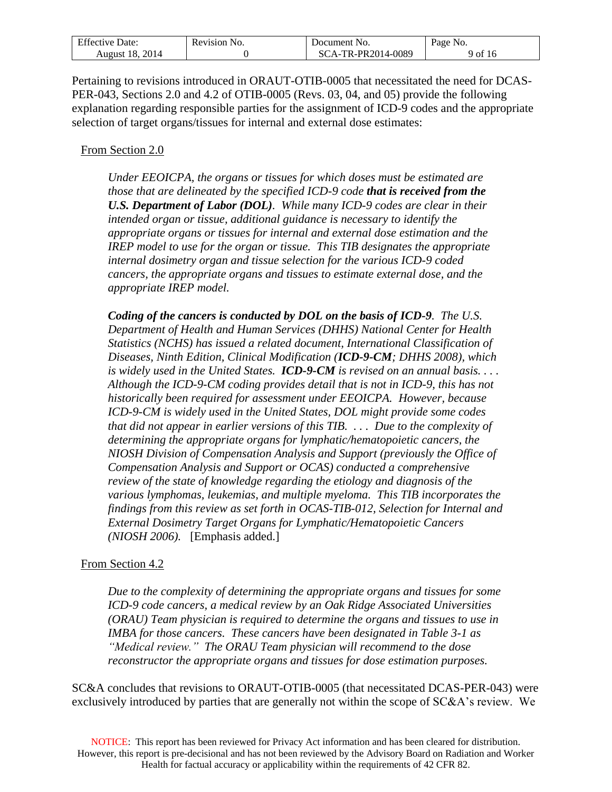| <b>Effective Date:</b> | Revision No. | Document No.       | Page No. |
|------------------------|--------------|--------------------|----------|
| August 18, 2014        |              | SCA-TR-PR2014-0089 | 9 of 16  |

Pertaining to revisions introduced in ORAUT-OTIB-0005 that necessitated the need for DCAS-PER-043, Sections 2.0 and 4.2 of OTIB-0005 (Revs. 03, 04, and 05) provide the following explanation regarding responsible parties for the assignment of ICD-9 codes and the appropriate selection of target organs/tissues for internal and external dose estimates:

#### From Section 2.0

*Under EEOICPA, the organs or tissues for which doses must be estimated are those that are delineated by the specified ICD-9 code that is received from the U.S. Department of Labor (DOL). While many ICD-9 codes are clear in their intended organ or tissue, additional guidance is necessary to identify the appropriate organs or tissues for internal and external dose estimation and the IREP model to use for the organ or tissue. This TIB designates the appropriate internal dosimetry organ and tissue selection for the various ICD-9 coded cancers, the appropriate organs and tissues to estimate external dose, and the appropriate IREP model.*

*Coding of the cancers is conducted by DOL on the basis of ICD-9. The U.S. Department of Health and Human Services (DHHS) National Center for Health Statistics (NCHS) has issued a related document, International Classification of Diseases, Ninth Edition, Clinical Modification (ICD-9-CM; DHHS 2008), which is widely used in the United States. ICD-9-CM is revised on an annual basis. . . . Although the ICD-9-CM coding provides detail that is not in ICD-9, this has not historically been required for assessment under EEOICPA. However, because ICD-9-CM is widely used in the United States, DOL might provide some codes that did not appear in earlier versions of this TIB. . . . Due to the complexity of determining the appropriate organs for lymphatic/hematopoietic cancers, the NIOSH Division of Compensation Analysis and Support (previously the Office of Compensation Analysis and Support or OCAS) conducted a comprehensive review of the state of knowledge regarding the etiology and diagnosis of the various lymphomas, leukemias, and multiple myeloma. This TIB incorporates the findings from this review as set forth in OCAS-TIB-012, Selection for Internal and External Dosimetry Target Organs for Lymphatic/Hematopoietic Cancers (NIOSH 2006).* [Emphasis added.]

#### From Section 4.2

*Due to the complexity of determining the appropriate organs and tissues for some ICD-9 code cancers, a medical review by an Oak Ridge Associated Universities (ORAU) Team physician is required to determine the organs and tissues to use in IMBA for those cancers. These cancers have been designated in Table 3-1 as "Medical review." The ORAU Team physician will recommend to the dose reconstructor the appropriate organs and tissues for dose estimation purposes.*

SC&A concludes that revisions to ORAUT-OTIB-0005 (that necessitated DCAS-PER-043) were exclusively introduced by parties that are generally not within the scope of SC&A's review. We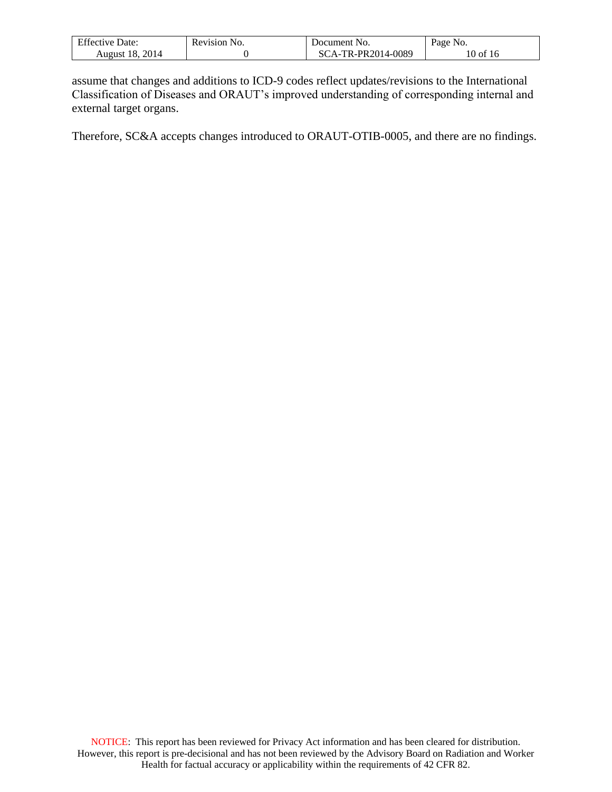| F C<br>Jate:<br>Effective | Revision<br>N <sub>O</sub> | NO.<br>ment<br><b>J</b> ocum                 | Page<br>NO. |
|---------------------------|----------------------------|----------------------------------------------|-------------|
| 2014<br>ı×<br>August      |                            | $14 - 0089$<br>DD2014<br>TD.<br>$\mathbf{v}$ | ΟĪ<br>٠ι.   |

assume that changes and additions to ICD-9 codes reflect updates/revisions to the International Classification of Diseases and ORAUT's improved understanding of corresponding internal and external target organs.

Therefore, SC&A accepts changes introduced to ORAUT-OTIB-0005, and there are no findings.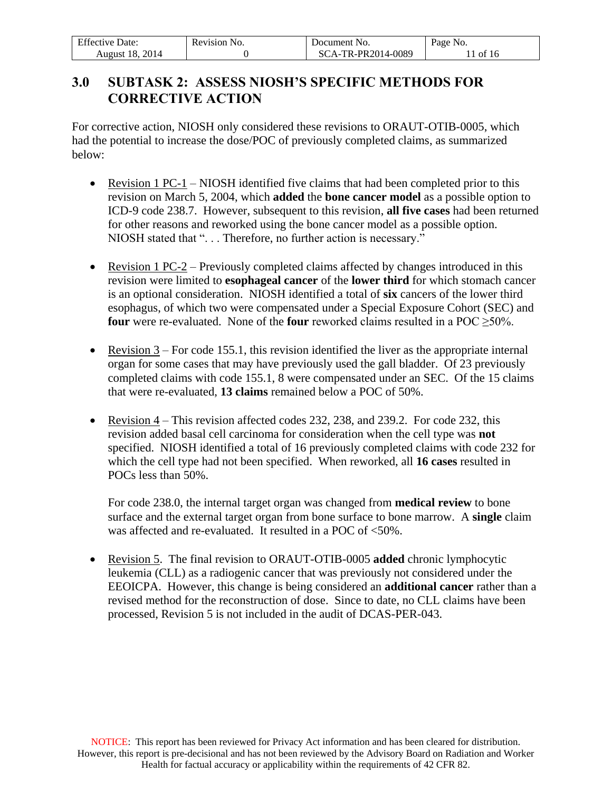| <b>Effective Date:</b> | Revision No. | Document No.       | Page No. |
|------------------------|--------------|--------------------|----------|
| August 18, 2014        |              | SCA-TR-PR2014-0089 | 1 of 16  |

# <span id="page-10-0"></span>**3.0 SUBTASK 2: ASSESS NIOSH'S SPECIFIC METHODS FOR CORRECTIVE ACTION**

For corrective action, NIOSH only considered these revisions to ORAUT-OTIB-0005, which had the potential to increase the dose/POC of previously completed claims, as summarized below:

- Revision 1 PC-1 NIOSH identified five claims that had been completed prior to this revision on March 5, 2004, which **added** the **bone cancer model** as a possible option to ICD-9 code 238.7. However, subsequent to this revision, **all five cases** had been returned for other reasons and reworked using the bone cancer model as a possible option. NIOSH stated that "... Therefore, no further action is necessary."
- Revision 1 PC-2 Previously completed claims affected by changes introduced in this revision were limited to **esophageal cancer** of the **lower third** for which stomach cancer is an optional consideration. NIOSH identified a total of **six** cancers of the lower third esophagus, of which two were compensated under a Special Exposure Cohort (SEC) and **four** were re-evaluated. None of the **four** reworked claims resulted in a POC > 50%.
- Exercision  $3$  For code 155.1, this revision identified the liver as the appropriate internal organ for some cases that may have previously used the gall bladder. Of 23 previously completed claims with code 155.1, 8 were compensated under an SEC. Of the 15 claims that were re-evaluated, **13 claims** remained below a POC of 50%.
- Revision  $4$  This revision affected codes 232, 238, and 239.2. For code 232, this revision added basal cell carcinoma for consideration when the cell type was **not** specified. NIOSH identified a total of 16 previously completed claims with code 232 for which the cell type had not been specified. When reworked, all **16 cases** resulted in POCs less than 50%.

For code 238.0, the internal target organ was changed from **medical review** to bone surface and the external target organ from bone surface to bone marrow. A **single** claim was affected and re-evaluated. It resulted in a POC of <50%.

 Revision 5. The final revision to ORAUT-OTIB-0005 **added** chronic lymphocytic leukemia (CLL) as a radiogenic cancer that was previously not considered under the EEOICPA. However, this change is being considered an **additional cancer** rather than a revised method for the reconstruction of dose. Since to date, no CLL claims have been processed, Revision 5 is not included in the audit of DCAS-PER-043.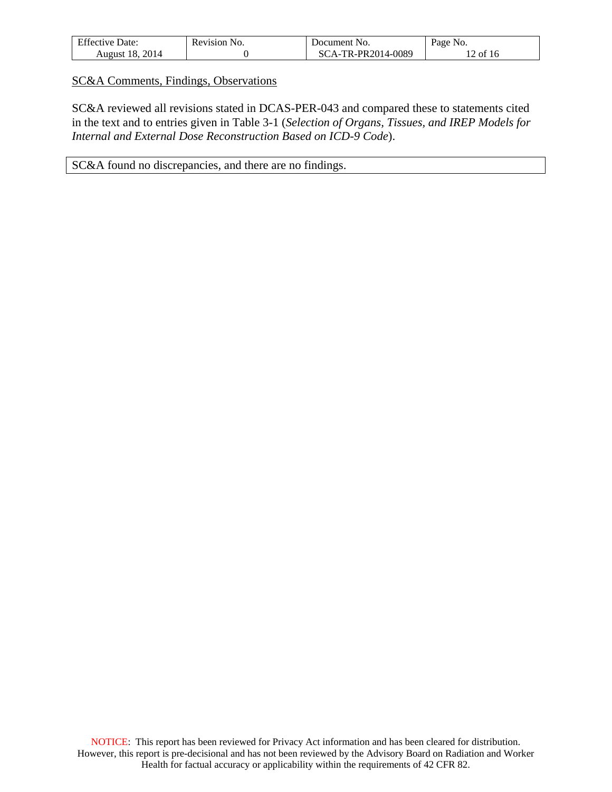| <b>Effective Date:</b> | Revision No. | Document No.       | Page No. |
|------------------------|--------------|--------------------|----------|
| <b>August 18, 2014</b> |              | SCA-TR-PR2014-0089 | 12 of 16 |

SC&A Comments, Findings, Observations

SC&A reviewed all revisions stated in DCAS-PER-043 and compared these to statements cited in the text and to entries given in Table 3-1 (*Selection of Organs, Tissues, and IREP Models for Internal and External Dose Reconstruction Based on ICD-9 Code*).

SC&A found no discrepancies, and there are no findings.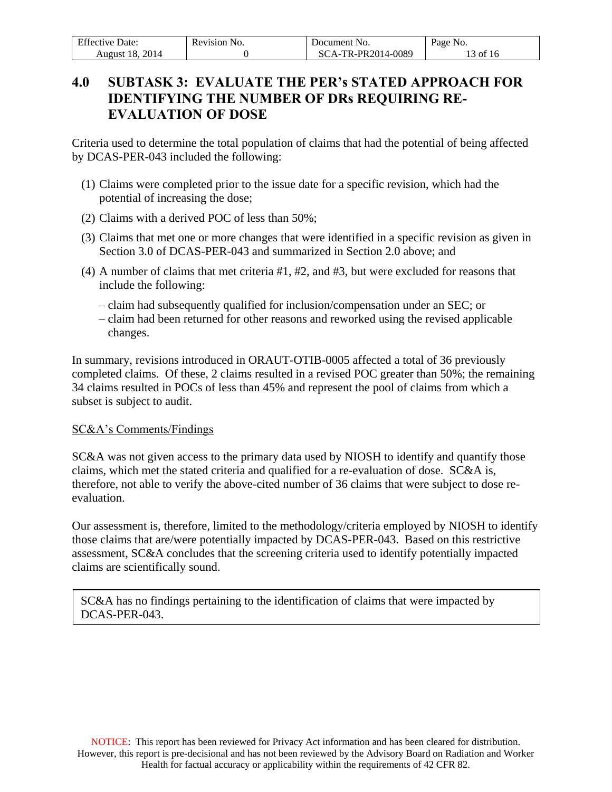| <b>Effective Date:</b> | Revision No. | Document No.       | Page No.   |
|------------------------|--------------|--------------------|------------|
| <b>August 18, 2014</b> |              | SCA-TR-PR2014-0089 | $13$ of 16 |

# <span id="page-12-0"></span>**4.0 SUBTASK 3: EVALUATE THE PER's STATED APPROACH FOR IDENTIFYING THE NUMBER OF DRs REQUIRING RE-EVALUATION OF DOSE**

Criteria used to determine the total population of claims that had the potential of being affected by DCAS-PER-043 included the following:

- (1) Claims were completed prior to the issue date for a specific revision, which had the potential of increasing the dose;
- (2) Claims with a derived POC of less than 50%;
- (3) Claims that met one or more changes that were identified in a specific revision as given in Section 3.0 of DCAS-PER-043 and summarized in Section 2.0 above; and
- (4) A number of claims that met criteria #1, #2, and #3, but were excluded for reasons that include the following:
	- claim had subsequently qualified for inclusion/compensation under an SEC; or
	- claim had been returned for other reasons and reworked using the revised applicable changes.

In summary, revisions introduced in ORAUT-OTIB-0005 affected a total of 36 previously completed claims. Of these, 2 claims resulted in a revised POC greater than 50%; the remaining 34 claims resulted in POCs of less than 45% and represent the pool of claims from which a subset is subject to audit.

### SC&A's Comments/Findings

SC&A was not given access to the primary data used by NIOSH to identify and quantify those claims, which met the stated criteria and qualified for a re-evaluation of dose. SC&A is, therefore, not able to verify the above-cited number of 36 claims that were subject to dose reevaluation.

Our assessment is, therefore, limited to the methodology/criteria employed by NIOSH to identify those claims that are/were potentially impacted by DCAS-PER-043. Based on this restrictive assessment, SC&A concludes that the screening criteria used to identify potentially impacted claims are scientifically sound.

SC&A has no findings pertaining to the identification of claims that were impacted by DCAS-PER-043.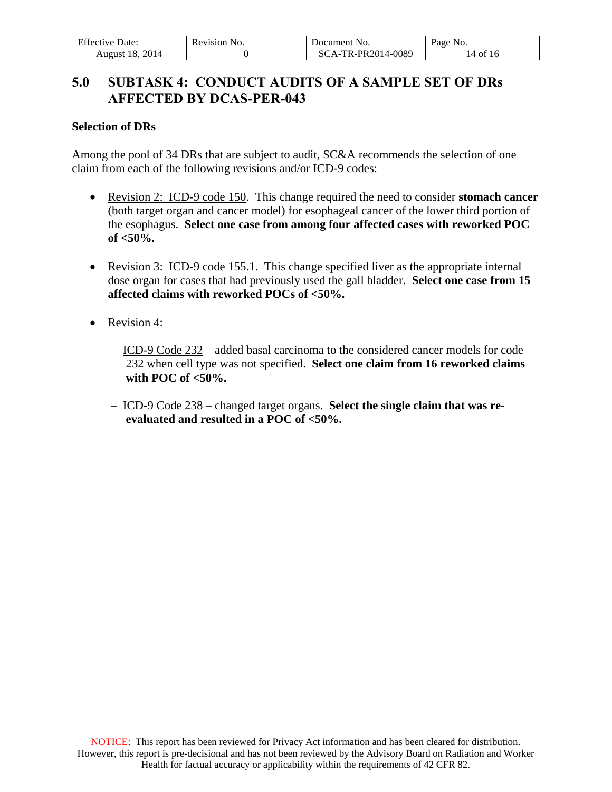| <b>Effective Date:</b> | Revision No. | Document No.       | Page No. |
|------------------------|--------------|--------------------|----------|
| August 18, 2014        |              | SCA-TR-PR2014-0089 | 14 of 16 |

### <span id="page-13-0"></span>**5.0 SUBTASK 4: CONDUCT AUDITS OF A SAMPLE SET OF DRs AFFECTED BY DCAS-PER-043**

#### **Selection of DRs**

Among the pool of 34 DRs that are subject to audit, SC&A recommends the selection of one claim from each of the following revisions and/or ICD-9 codes:

- Revision 2: ICD-9 code 150. This change required the need to consider **stomach cancer** (both target organ and cancer model) for esophageal cancer of the lower third portion of the esophagus. **Select one case from among four affected cases with reworked POC of <50%.**
- Revision 3: ICD-9 code 155.1. This change specified liver as the appropriate internal dose organ for cases that had previously used the gall bladder. **Select one case from 15 affected claims with reworked POCs of <50%.**
- Revision 4:
	- ICD-9 Code 232 added basal carcinoma to the considered cancer models for code 232 when cell type was not specified. **Select one claim from 16 reworked claims with POC of <50%.**
	- ICD-9 Code 238 changed target organs. **Select the single claim that was reevaluated and resulted in a POC of <50%.**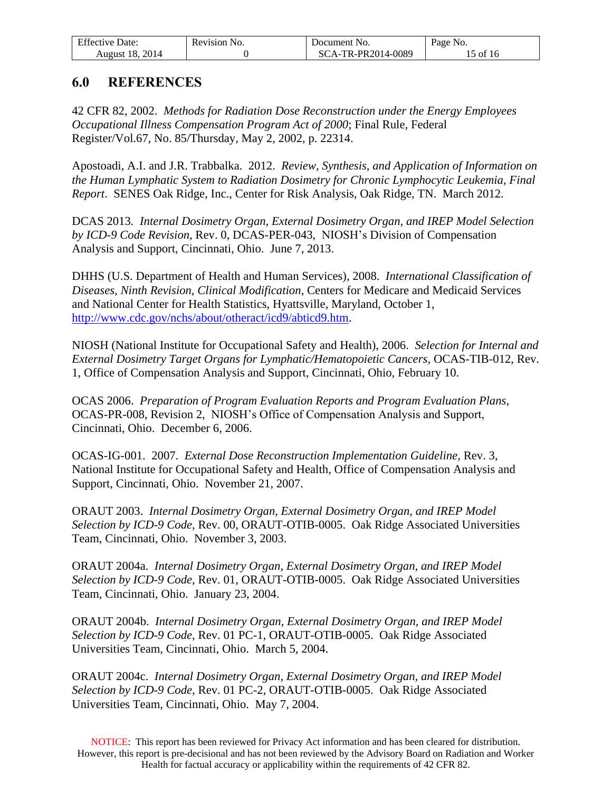| <b>Effective Date:</b> | Revision No. | Document No.       | Page No. |
|------------------------|--------------|--------------------|----------|
| <b>August 18, 2014</b> |              | SCA-TR-PR2014-0089 | 15 of 16 |

### <span id="page-14-0"></span>**6.0 REFERENCES**

42 CFR 82, 2002. *Methods for Radiation Dose Reconstruction under the Energy Employees Occupational Illness Compensation Program Act of 2000*; Final Rule, Federal Register/Vol.67, No. 85/Thursday, May 2, 2002, p. 22314.

Apostoadi, A.I. and J.R. Trabbalka. 2012. *Review, Synthesis, and Application of Information on the Human Lymphatic System to Radiation Dosimetry for Chronic Lymphocytic Leukemia, Final Report*. SENES Oak Ridge, Inc., Center for Risk Analysis, Oak Ridge, TN. March 2012.

DCAS 2013*. Internal Dosimetry Organ, External Dosimetry Organ, and IREP Model Selection by ICD-9 Code Revision*, Rev. 0, DCAS-PER-043, NIOSH's Division of Compensation Analysis and Support, Cincinnati, Ohio. June 7, 2013.

DHHS (U.S. Department of Health and Human Services), 2008. *International Classification of Diseases, Ninth Revision, Clinical Modification*, Centers for Medicare and Medicaid Services and National Center for Health Statistics, Hyattsville, Maryland, October 1, [http://www.cdc.gov/nchs/about/otheract/icd9/abticd9.htm.](http://www.cdc.gov/nchs/about/otheract/icd9/abticd9.htm)

NIOSH (National Institute for Occupational Safety and Health), 2006. *Selection for Internal and External Dosimetry Target Organs for Lymphatic/Hematopoietic Cancers,* OCAS-TIB-012, Rev. 1, Office of Compensation Analysis and Support, Cincinnati, Ohio, February 10.

OCAS 2006. *Preparation of Program Evaluation Reports and Program Evaluation Plans*, OCAS-PR-008, Revision 2, NIOSH's Office of Compensation Analysis and Support, Cincinnati, Ohio. December 6, 2006.

OCAS-IG-001. 2007. *External Dose Reconstruction Implementation Guideline,* Rev. 3, National Institute for Occupational Safety and Health, Office of Compensation Analysis and Support, Cincinnati, Ohio. November 21, 2007.

ORAUT 2003. *Internal Dosimetry Organ, External Dosimetry Organ, and IREP Model Selection by ICD-9 Code*, Rev. 00, ORAUT-OTIB-0005. Oak Ridge Associated Universities Team, Cincinnati, Ohio. November 3, 2003.

ORAUT 2004a. *Internal Dosimetry Organ, External Dosimetry Organ, and IREP Model Selection by ICD-9 Code*, Rev. 01, ORAUT-OTIB-0005. Oak Ridge Associated Universities Team, Cincinnati, Ohio. January 23, 2004.

ORAUT 2004b. *Internal Dosimetry Organ, External Dosimetry Organ, and IREP Model Selection by ICD-9 Code*, Rev. 01 PC-1, ORAUT-OTIB-0005. Oak Ridge Associated Universities Team, Cincinnati, Ohio. March 5, 2004.

ORAUT 2004c. *Internal Dosimetry Organ, External Dosimetry Organ, and IREP Model Selection by ICD-9 Code*, Rev. 01 PC-2, ORAUT-OTIB-0005. Oak Ridge Associated Universities Team, Cincinnati, Ohio. May 7, 2004.